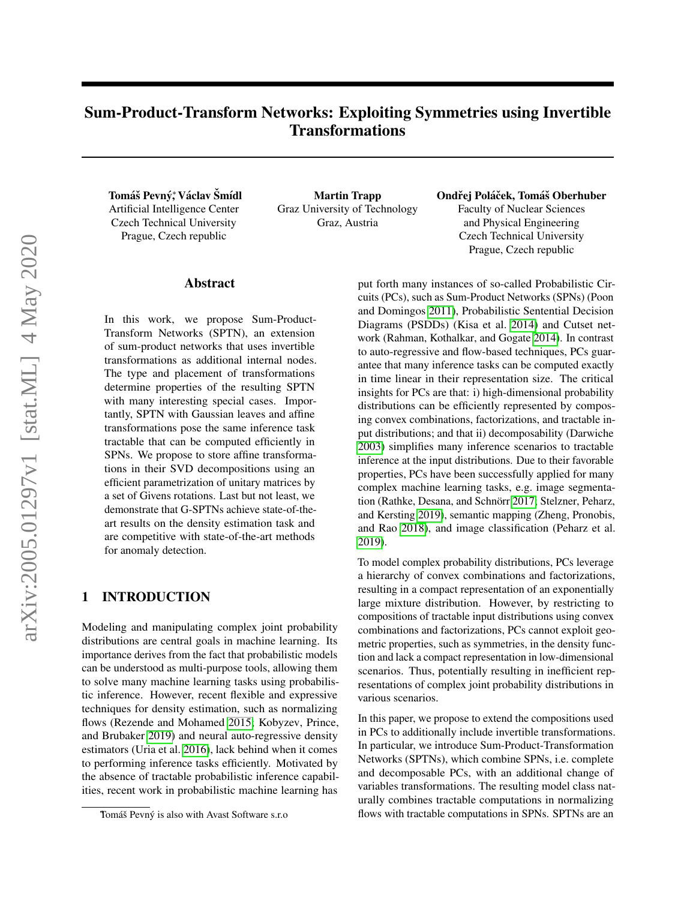# Sum-Product-Transform Networks: Exploiting Symmetries using Invertible Transformations

Tomáš Pevný,\* Václav Šmídl Artificial Intelligence Center Czech Technical University Prague, Czech republic

Martin Trapp Graz University of Technology Graz, Austria

Ondřej Poláček, Tomáš Oberhuber Faculty of Nuclear Sciences and Physical Engineering Czech Technical University Prague, Czech republic

#### Abstract

In this work, we propose Sum-Product-Transform Networks (SPTN), an extension of sum-product networks that uses invertible transformations as additional internal nodes. The type and placement of transformations determine properties of the resulting SPTN with many interesting special cases. Importantly, SPTN with Gaussian leaves and affine transformations pose the same inference task tractable that can be computed efficiently in SPNs. We propose to store affine transformations in their SVD decompositions using an efficient parametrization of unitary matrices by a set of Givens rotations. Last but not least, we demonstrate that G-SPTNs achieve state-of-theart results on the density estimation task and are competitive with state-of-the-art methods for anomaly detection.

#### 1 INTRODUCTION

Modeling and manipulating complex joint probability distributions are central goals in machine learning. Its importance derives from the fact that probabilistic models can be understood as multi-purpose tools, allowing them to solve many machine learning tasks using probabilistic inference. However, recent flexible and expressive techniques for density estimation, such as normalizing flows (Rezende and Mohamed [2015;](#page-9-0) Kobyzev, Prince, and Brubaker [2019\)](#page-8-0) and neural auto-regressive density estimators (Uria et al. [2016\)](#page-9-1), lack behind when it comes to performing inference tasks efficiently. Motivated by the absence of tractable probabilistic inference capabilities, recent work in probabilistic machine learning has put forth many instances of so-called Probabilistic Circuits (PCs), such as Sum-Product Networks (SPNs) (Poon and Domingos [2011\)](#page-8-1), Probabilistic Sentential Decision Diagrams (PSDDs) (Kisa et al. [2014\)](#page-8-2) and Cutset network (Rahman, Kothalkar, and Gogate [2014\)](#page-9-2). In contrast to auto-regressive and flow-based techniques, PCs guarantee that many inference tasks can be computed exactly in time linear in their representation size. The critical insights for PCs are that: i) high-dimensional probability distributions can be efficiently represented by composing convex combinations, factorizations, and tractable input distributions; and that ii) decomposability (Darwiche [2003\)](#page-8-3) simplifies many inference scenarios to tractable inference at the input distributions. Due to their favorable properties, PCs have been successfully applied for many complex machine learning tasks, e.g. image segmenta-tion (Rathke, Desana, and Schnörr [2017;](#page-9-3) Stelzner, Peharz, and Kersting [2019\)](#page-9-4), semantic mapping (Zheng, Pronobis, and Rao [2018\)](#page-9-5), and image classification (Peharz et al. [2019\)](#page-8-4).

To model complex probability distributions, PCs leverage a hierarchy of convex combinations and factorizations, resulting in a compact representation of an exponentially large mixture distribution. However, by restricting to compositions of tractable input distributions using convex combinations and factorizations, PCs cannot exploit geometric properties, such as symmetries, in the density function and lack a compact representation in low-dimensional scenarios. Thus, potentially resulting in inefficient representations of complex joint probability distributions in various scenarios.

In this paper, we propose to extend the compositions used in PCs to additionally include invertible transformations. In particular, we introduce Sum-Product-Transformation Networks (SPTNs), which combine SPNs, i.e. complete and decomposable PCs, with an additional change of variables transformations. The resulting model class naturally combines tractable computations in normalizing flows with tractable computations in SPNs. SPTNs are an

Tomáš Pevný is also with Avast Software s.r.o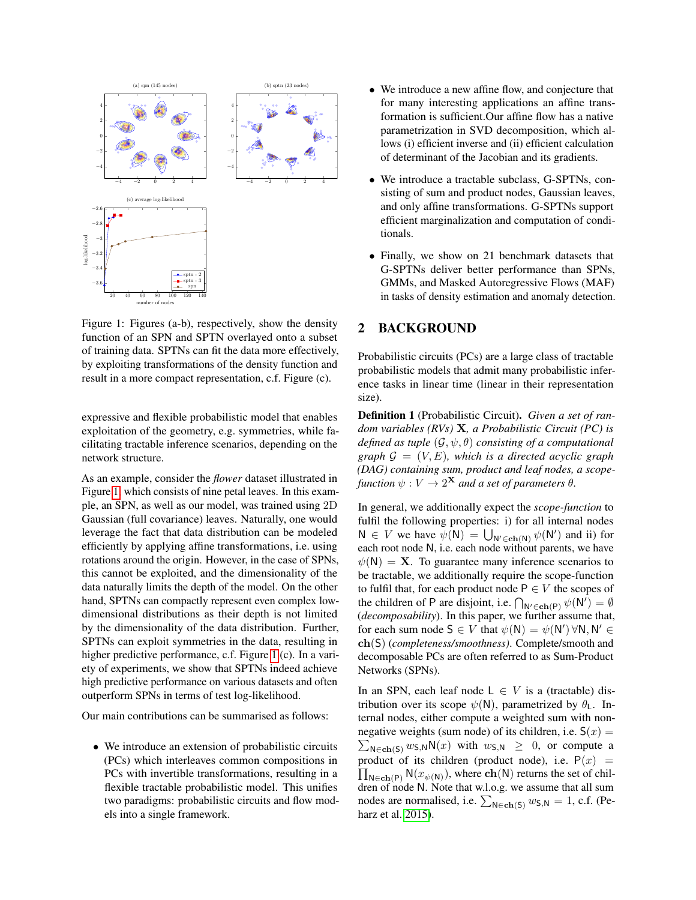<span id="page-1-0"></span>

Figure 1: Figures (a-b), respectively, show the density function of an SPN and SPTN overlayed onto a subset of training data. SPTNs can fit the data more effectively, by exploiting transformations of the density function and result in a more compact representation, c.f. Figure (c).

expressive and flexible probabilistic model that enables exploitation of the geometry, e.g. symmetries, while facilitating tractable inference scenarios, depending on the network structure.

As an example, consider the *flower* dataset illustrated in Figure [1,](#page-1-0) which consists of nine petal leaves. In this example, an SPN, as well as our model, was trained using 2D Gaussian (full covariance) leaves. Naturally, one would leverage the fact that data distribution can be modeled efficiently by applying affine transformations, i.e. using rotations around the origin. However, in the case of SPNs, this cannot be exploited, and the dimensionality of the data naturally limits the depth of the model. On the other hand, SPTNs can compactly represent even complex lowdimensional distributions as their depth is not limited by the dimensionality of the data distribution. Further, SPTNs can exploit symmetries in the data, resulting in higher predictive performance, c.f. Figure [1](#page-1-0) (c). In a variety of experiments, we show that SPTNs indeed achieve high predictive performance on various datasets and often outperform SPNs in terms of test log-likelihood.

Our main contributions can be summarised as follows:

• We introduce an extension of probabilistic circuits (PCs) which interleaves common compositions in PCs with invertible transformations, resulting in a flexible tractable probabilistic model. This unifies two paradigms: probabilistic circuits and flow models into a single framework.

- We introduce a new affine flow, and conjecture that for many interesting applications an affine transformation is sufficient.Our affine flow has a native parametrization in SVD decomposition, which allows (i) efficient inverse and (ii) efficient calculation of determinant of the Jacobian and its gradients.
- We introduce a tractable subclass, G-SPTNs, consisting of sum and product nodes, Gaussian leaves, and only affine transformations. G-SPTNs support efficient marginalization and computation of conditionals.
- Finally, we show on 21 benchmark datasets that G-SPTNs deliver better performance than SPNs, GMMs, and Masked Autoregressive Flows (MAF) in tasks of density estimation and anomaly detection.

#### 2 BACKGROUND

Probabilistic circuits (PCs) are a large class of tractable probabilistic models that admit many probabilistic inference tasks in linear time (linear in their representation size).

Definition 1 (Probabilistic Circuit). *Given a set of random variables (RVs)* X*, a Probabilistic Circuit (PC) is defined as tuple* (G, ψ, θ) *consisting of a computational graph*  $\mathcal{G} = (V, E)$ *, which is a directed acyclic graph (DAG) containing sum, product and leaf nodes, a scope*function  $\psi: V \to 2^{\mathbf{X}}$  and a set of parameters  $\theta$ .

In general, we additionally expect the *scope-function* to fulfil the following properties: i) for all internal nodes  $N \in V$  we have  $\psi(N) = \bigcup_{N' \in ch(N)} \psi(N')$  and ii) for each root node N, i.e. each node without parents, we have  $\psi(N) = X$ . To guarantee many inference scenarios to be tractable, we additionally require the scope-function to fulfil that, for each product node  $P \in V$  the scopes of the children of P are disjoint, i.e.  $\bigcap_{N' \in ch(P)} \psi(N') = \emptyset$ (*decomposability*). In this paper, we further assume that, for each sum node  $S \in V$  that  $\psi(N) = \psi(N') \forall N, N' \in$ ch(S) (*completeness/smoothness)*. Complete/smooth and decomposable PCs are often referred to as Sum-Product Networks (SPNs).

In an SPN, each leaf node  $L \in V$  is a (tractable) distribution over its scope  $\psi(N)$ , parametrized by  $\theta_1$ . Internal nodes, either compute a weighted sum with nonnegative weights (sum node) of its children, i.e.  $S(x) =$  $\sum_{N \in \text{ch}(S)} w_{S,N} N(x)$  with  $w_{S,N} \geq 0$ , or compute a product of its children (product node), i.e.  $P(x) =$  $\prod_{\mathsf{N} \in \mathbf{ch}(\mathsf{P})} \mathsf{N}(x_{\psi(\mathsf{N})}),$  where  $\mathbf{ch}(\mathsf{N})$  returns the set of children of node N. Note that w.l.o.g. we assume that all sum nodes are normalised, i.e.  $\sum_{N \in ch(S)} w_{S,N} = 1$ , c.f. (Peharz et al. [2015\)](#page-8-5).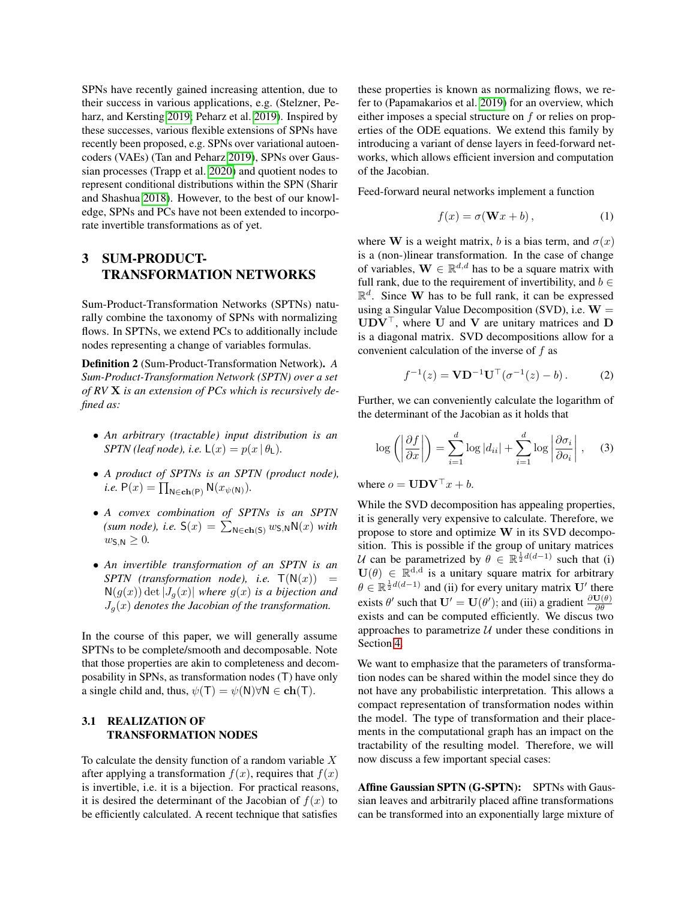SPNs have recently gained increasing attention, due to their success in various applications, e.g. (Stelzner, Peharz, and Kersting [2019;](#page-9-4) Peharz et al. [2019\)](#page-8-4). Inspired by these successes, various flexible extensions of SPNs have recently been proposed, e.g. SPNs over variational autoencoders (VAEs) (Tan and Peharz [2019\)](#page-9-6), SPNs over Gaussian processes (Trapp et al. [2020\)](#page-9-7) and quotient nodes to represent conditional distributions within the SPN (Sharir and Shashua [2018\)](#page-9-8). However, to the best of our knowledge, SPNs and PCs have not been extended to incorporate invertible transformations as of yet.

## 3 SUM-PRODUCT-TRANSFORMATION NETWORKS

Sum-Product-Transformation Networks (SPTNs) naturally combine the taxonomy of SPNs with normalizing flows. In SPTNs, we extend PCs to additionally include nodes representing a change of variables formulas.

Definition 2 (Sum-Product-Transformation Network). *A Sum-Product-Transformation Network (SPTN) over a set of RV* X *is an extension of PCs which is recursively defined as:*

- *An arbitrary (tractable) input distribution is an SPTN* (leaf node), i.e.  $\mathsf{L}(x) = p(x | \theta_{\mathsf{L}})$ .
- *A product of SPTNs is an SPTN (product node), i.e.*  $P(x) = \prod_{N \in ch(P)} N(x_{\psi(N)})$ .
- *A convex combination of SPTNs is an SPTN* (sum node), i.e.  $S(x) = \sum_{N \in ch(S)} w_{S,N} N(x)$  *with*  $w_{\mathsf{S},\mathsf{N}} \geq 0$ .
- *An invertible transformation of an SPTN is an SPTN* (*transformation node*), *i.e.*  $T(N(x)) =$  $N(g(x))$  det  $|J_q(x)|$  *where*  $g(x)$  *is a bijection and*  $J_q(x)$  denotes the Jacobian of the transformation.

In the course of this paper, we will generally assume SPTNs to be complete/smooth and decomposable. Note that those properties are akin to completeness and decomposability in SPNs, as transformation nodes (T) have only a single child and, thus,  $\psi(T) = \psi(N) \forall N \in \text{ch}(T)$ .

#### 3.1 REALIZATION OF TRANSFORMATION NODES

To calculate the density function of a random variable  $X$ after applying a transformation  $f(x)$ , requires that  $f(x)$ is invertible, i.e. it is a bijection. For practical reasons, it is desired the determinant of the Jacobian of  $f(x)$  to be efficiently calculated. A recent technique that satisfies these properties is known as normalizing flows, we refer to (Papamakarios et al. [2019\)](#page-8-6) for an overview, which either imposes a special structure on f or relies on properties of the ODE equations. We extend this family by introducing a variant of dense layers in feed-forward networks, which allows efficient inversion and computation of the Jacobian.

Feed-forward neural networks implement a function

$$
f(x) = \sigma(\mathbf{W}x + b), \tag{1}
$$

where W is a weight matrix, b is a bias term, and  $\sigma(x)$ is a (non-)linear transformation. In the case of change of variables,  $\mathbf{W} \in \mathbb{R}^{d,d}$  has to be a square matrix with full rank, due to the requirement of invertibility, and  $b \in$  $\mathbb{R}^d$ . Since W has to be full rank, it can be expressed using a Singular Value Decomposition (SVD), i.e.  $W =$  $\mathbf{UDV}^{\top}$ , where U and V are unitary matrices and D is a diagonal matrix. SVD decompositions allow for a convenient calculation of the inverse of  $f$  as

$$
f^{-1}(z) = \mathbf{V} \mathbf{D}^{-1} \mathbf{U}^{\top} (\sigma^{-1}(z) - b).
$$
 (2)

Further, we can conveniently calculate the logarithm of the determinant of the Jacobian as it holds that

$$
\log\left(\left|\frac{\partial f}{\partial x}\right|\right) = \sum_{i=1}^{d} \log|d_{ii}| + \sum_{i=1}^{d} \log\left|\frac{\partial \sigma_i}{\partial o_i}\right|, \quad (3)
$$

where  $o = \mathbf{UDV}^\top x + b$ .

While the SVD decomposition has appealing properties, it is generally very expensive to calculate. Therefore, we propose to store and optimize W in its SVD decomposition. This is possible if the group of unitary matrices U can be parametrized by  $\theta \in \mathbb{R}^{\frac{1}{2}d(d-1)}$  such that (i)  $U(\theta) \in \mathbb{R}^{d,d}$  is a unitary square matrix for arbitrary  $\theta \in \mathbb{R}^{\frac{1}{2}d(d-1)}$  and (ii) for every unitary matrix U' there exists  $\theta'$  such that  $\mathbf{U}' = \mathbf{U}(\theta')$ ; and (iii) a gradient  $\frac{\partial \mathbf{U}(\theta)}{\partial \theta}$ exists and can be computed efficiently. We discus two approaches to parametrize  $U$  under these conditions in Section [4.](#page-3-0)

We want to emphasize that the parameters of transformation nodes can be shared within the model since they do not have any probabilistic interpretation. This allows a compact representation of transformation nodes within the model. The type of transformation and their placements in the computational graph has an impact on the tractability of the resulting model. Therefore, we will now discuss a few important special cases:

Affine Gaussian SPTN (G-SPTN): SPTNs with Gaussian leaves and arbitrarily placed affine transformations can be transformed into an exponentially large mixture of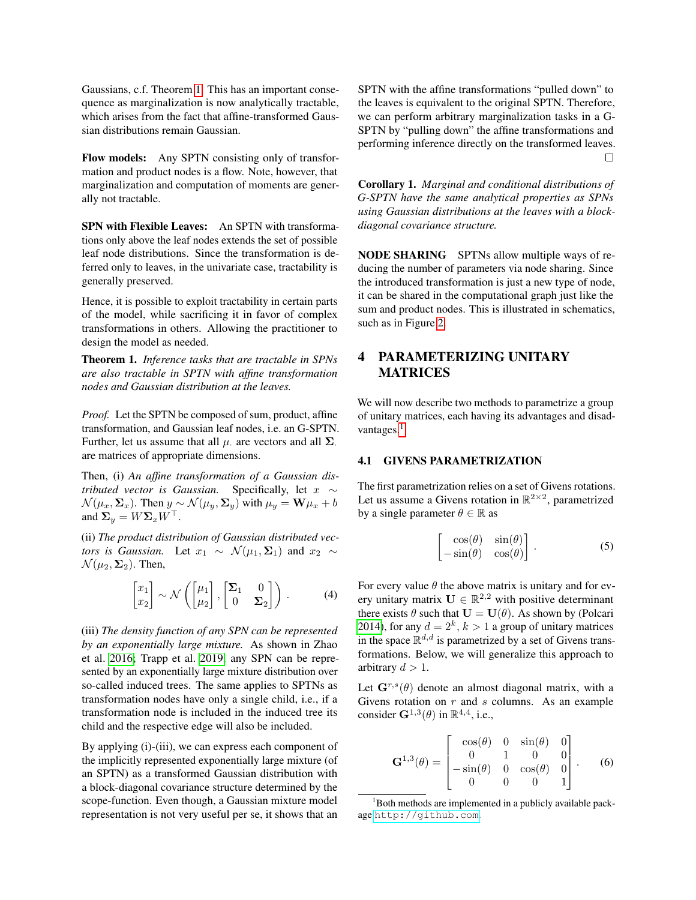Gaussians, c.f. Theorem [1.](#page-3-1) This has an important consequence as marginalization is now analytically tractable, which arises from the fact that affine-transformed Gaussian distributions remain Gaussian.

Flow models: Any SPTN consisting only of transformation and product nodes is a flow. Note, however, that marginalization and computation of moments are generally not tractable.

SPN with Flexible Leaves: An SPTN with transformations only above the leaf nodes extends the set of possible leaf node distributions. Since the transformation is deferred only to leaves, in the univariate case, tractability is generally preserved.

Hence, it is possible to exploit tractability in certain parts of the model, while sacrificing it in favor of complex transformations in others. Allowing the practitioner to design the model as needed.

<span id="page-3-1"></span>Theorem 1. *Inference tasks that are tractable in SPNs are also tractable in SPTN with affine transformation nodes and Gaussian distribution at the leaves.*

*Proof.* Let the SPTN be composed of sum, product, affine transformation, and Gaussian leaf nodes, i.e. an G-SPTN. Further, let us assume that all  $\mu$  are vectors and all  $\Sigma$ . are matrices of appropriate dimensions.

Then, (i) *An affine transformation of a Gaussian distributed vector is Gaussian.* Specifically, let x ∼  $\mathcal{N}(\mu_x, \Sigma_x)$ . Then  $y \sim \mathcal{N}(\mu_y, \Sigma_y)$  with  $\mu_y = \mathbf{W}\mu_x + b$ and  $\Sigma_y = W \Sigma_x W^\top$ .

(ii) *The product distribution of Gaussian distributed vectors is Gaussian.* Let  $x_1 \sim \mathcal{N}(\mu_1, \Sigma_1)$  and  $x_2 \sim$  $\mathcal{N}(\mu_2, \Sigma_2)$ . Then,

$$
\begin{bmatrix} x_1 \\ x_2 \end{bmatrix} \sim \mathcal{N}\left( \begin{bmatrix} \mu_1 \\ \mu_2 \end{bmatrix}, \begin{bmatrix} \Sigma_1 & 0 \\ 0 & \Sigma_2 \end{bmatrix} \right). \tag{4}
$$

(iii) *The density function of any SPN can be represented by an exponentially large mixture.* As shown in Zhao et al. [2016;](#page-9-9) Trapp et al. [2019,](#page-9-10) any SPN can be represented by an exponentially large mixture distribution over so-called induced trees. The same applies to SPTNs as transformation nodes have only a single child, i.e., if a transformation node is included in the induced tree its child and the respective edge will also be included.

By applying (i)-(iii), we can express each component of the implicitly represented exponentially large mixture (of an SPTN) as a transformed Gaussian distribution with a block-diagonal covariance structure determined by the scope-function. Even though, a Gaussian mixture model representation is not very useful per se, it shows that an SPTN with the affine transformations "pulled down" to the leaves is equivalent to the original SPTN. Therefore, we can perform arbitrary marginalization tasks in a G-SPTN by "pulling down" the affine transformations and performing inference directly on the transformed leaves. П

Corollary 1. *Marginal and conditional distributions of G-SPTN have the same analytical properties as SPNs using Gaussian distributions at the leaves with a blockdiagonal covariance structure.*

NODE SHARING SPTNs allow multiple ways of reducing the number of parameters via node sharing. Since the introduced transformation is just a new type of node, it can be shared in the computational graph just like the sum and product nodes. This is illustrated in schematics, such as in Figure [2.](#page-6-0)

## <span id="page-3-0"></span>4 PARAMETERIZING UNITARY **MATRICES**

We will now describe two methods to parametrize a group of unitary matrices, each having its advantages and disad-vantages.<sup>[1](#page-3-2)</sup>

#### 4.1 GIVENS PARAMETRIZATION

The first parametrization relies on a set of Givens rotations. Let us assume a Givens rotation in  $\mathbb{R}^{2\times 2}$ , parametrized by a single parameter  $\theta \in \mathbb{R}$  as

$$
\begin{bmatrix}\n\cos(\theta) & \sin(\theta) \\
-\sin(\theta) & \cos(\theta)\n\end{bmatrix}.
$$
\n(5)

For every value  $\theta$  the above matrix is unitary and for every unitary matrix  $\mathbf{U} \in \mathbb{R}^{2,2}$  with positive determinant there exists  $\theta$  such that  $\mathbf{U} = \mathbf{U}(\theta)$ . As shown by (Polcari [2014\)](#page-8-7), for any  $d = 2^k$ ,  $k > 1$  a group of unitary matrices in the space  $\mathbb{R}^{d,d}$  is parametrized by a set of Givens transformations. Below, we will generalize this approach to arbitrary  $d > 1$ .

Let  $\mathbf{G}^{r,s}(\theta)$  denote an almost diagonal matrix, with a Givens rotation on  $r$  and  $s$  columns. As an example consider  $\mathbf{G}^{1,3}(\theta)$  in  $\mathbb{R}^{4,4}$ , i.e.,

$$
\mathbf{G}^{1,3}(\theta) = \begin{bmatrix} \cos(\theta) & 0 & \sin(\theta) & 0 \\ 0 & 1 & 0 & 0 \\ -\sin(\theta) & 0 & \cos(\theta) & 0 \\ 0 & 0 & 0 & 1 \end{bmatrix}.
$$
 (6)

<span id="page-3-2"></span> $1$ Both methods are implemented in a publicly available package <http://github.com>.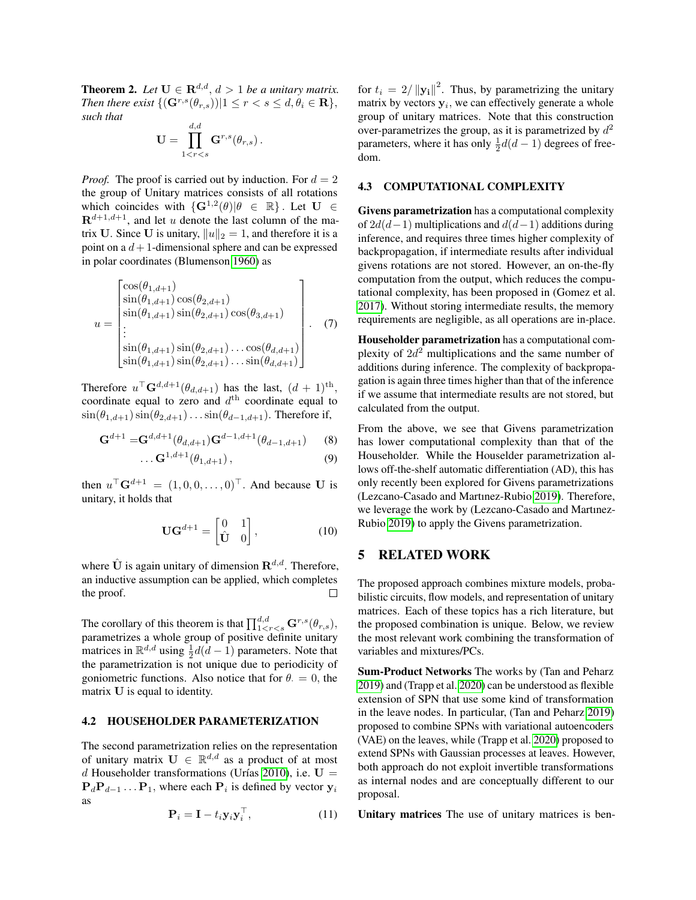**Theorem 2.** Let  $U \in \mathbb{R}^{d,d}$ ,  $d > 1$  be a unitary matrix. *Then there exist*  $\{(\mathbf{G}^{r,s}(\theta_{r,s}))|1 \leq r < s \leq d, \theta_i \in \mathbf{R}\},\$ *such that* d,d

$$
\mathbf{U}=\prod_{1
$$

*Proof.* The proof is carried out by induction. For  $d = 2$ the group of Unitary matrices consists of all rotations which coincides with  $\{G^{1,2}(\theta) | \theta \in \mathbb{R}\}\)$ . Let  $U \in$  $\mathbf{R}^{d+1,d+1}$ , and let u denote the last column of the matrix U. Since U is unitary,  $||u||_2 = 1$ , and therefore it is a point on a  $d+1$ -dimensional sphere and can be expressed in polar coordinates (Blumenson [1960\)](#page-8-8) as

$$
u = \begin{bmatrix} \cos(\theta_{1,d+1}) \\ \sin(\theta_{1,d+1}) \cos(\theta_{2,d+1}) \\ \sin(\theta_{1,d+1}) \sin(\theta_{2,d+1}) \cos(\theta_{3,d+1}) \\ \vdots \\ \sin(\theta_{1,d+1}) \sin(\theta_{2,d+1}) \dots \cos(\theta_{d,d+1}) \\ \sin(\theta_{1,d+1}) \sin(\theta_{2,d+1}) \dots \sin(\theta_{d,d+1}) \end{bmatrix} .
$$
 (7)

Therefore  $u^{\top} \mathbf{G}^{d,d+1}(\theta_{d,d+1})$  has the last,  $(d+1)$ <sup>th</sup>, coordinate equal to zero and  $d<sup>th</sup>$  coordinate equal to  $\sin(\theta_{1,d+1}) \sin(\theta_{2,d+1}) \dots \sin(\theta_{d-1,d+1})$ . Therefore if,

$$
\mathbf{G}^{d+1} = \mathbf{G}^{d,d+1}(\theta_{d,d+1}) \mathbf{G}^{d-1,d+1}(\theta_{d-1,d+1})
$$
 (8)

$$
\ldots \mathbf{G}^{1,d+1}(\theta_{1,d+1}), \qquad \qquad (9)
$$

then  $u^{\top} \mathbf{G}^{d+1} = (1, 0, 0, \dots, 0)^{\top}$ . And because U is unitary, it holds that

$$
\mathbf{U}\mathbf{G}^{d+1} = \begin{bmatrix} 0 & 1 \\ \hat{\mathbf{U}} & 0 \end{bmatrix},\tag{10}
$$

where  $\hat{\mathbf{U}}$  is again unitary of dimension  $\mathbf{R}^{d,d}$ . Therefore, an inductive assumption can be applied, which completes the proof.  $\Box$ 

The corollary of this theorem is that  $\prod_{1 \leq r \leq s}^{d,d} \mathbf{G}^{r,s}(\theta_{r,s}),$ parametrizes a whole group of positive definite unitary matrices in  $\mathbb{R}^{d,d}$  using  $\frac{1}{2}d(d-1)$  parameters. Note that the parametrization is not unique due to periodicity of goniometric functions. Also notice that for  $\theta = 0$ , the matrix U is equal to identity.

#### 4.2 HOUSEHOLDER PARAMETERIZATION

The second parametrization relies on the representation of unitary matrix  $\mathbf{U} \in \mathbb{R}^{d,d}$  as a product of at most d Householder transformations (Urías [2010\)](#page-9-11), i.e.  $U =$  ${\bf P}_d{\bf P}_{d-1} \dots {\bf P}_1$ , where each  ${\bf P}_i$  is defined by vector  ${\bf y}_i$ as

$$
\mathbf{P}_i = \mathbf{I} - t_i \mathbf{y}_i \mathbf{y}_i^\top,\tag{11}
$$

for  $t_i = 2/||\mathbf{y_i}||^2$ . Thus, by parametrizing the unitary matrix by vectors  $y_i$ , we can effectively generate a whole group of unitary matrices. Note that this construction over-parametrizes the group, as it is parametrized by  $d^2$ parameters, where it has only  $\frac{1}{2}d(d-1)$  degrees of freedom.

#### 4.3 COMPUTATIONAL COMPLEXITY

Givens parametrization has a computational complexity of  $2d(d-1)$  multiplications and  $d(d-1)$  additions during inference, and requires three times higher complexity of backpropagation, if intermediate results after individual givens rotations are not stored. However, an on-the-fly computation from the output, which reduces the computational complexity, has been proposed in (Gomez et al. [2017\)](#page-8-9). Without storing intermediate results, the memory requirements are negligible, as all operations are in-place.

Householder parametrization has a computational complexity of  $2d^2$  multiplications and the same number of additions during inference. The complexity of backpropagation is again three times higher than that of the inference if we assume that intermediate results are not stored, but calculated from the output.

From the above, we see that Givens parametrization has lower computational complexity than that of the Householder. While the Houselder parametrization allows off-the-shelf automatic differentiation (AD), this has only recently been explored for Givens parametrizations (Lezcano-Casado and Martınez-Rubio [2019\)](#page-8-10). Therefore, we leverage the work by (Lezcano-Casado and Martınez-Rubio [2019\)](#page-8-10) to apply the Givens parametrization.

## 5 RELATED WORK

The proposed approach combines mixture models, probabilistic circuits, flow models, and representation of unitary matrices. Each of these topics has a rich literature, but the proposed combination is unique. Below, we review the most relevant work combining the transformation of variables and mixtures/PCs.

Sum-Product Networks The works by (Tan and Peharz [2019\)](#page-9-6) and (Trapp et al. [2020\)](#page-9-7) can be understood as flexible extension of SPN that use some kind of transformation in the leave nodes. In particular, (Tan and Peharz [2019\)](#page-9-6) proposed to combine SPNs with variational autoencoders (VAE) on the leaves, while (Trapp et al. [2020\)](#page-9-7) proposed to extend SPNs with Gaussian processes at leaves. However, both approach do not exploit invertible transformations as internal nodes and are conceptually different to our proposal.

Unitary matrices The use of unitary matrices is ben-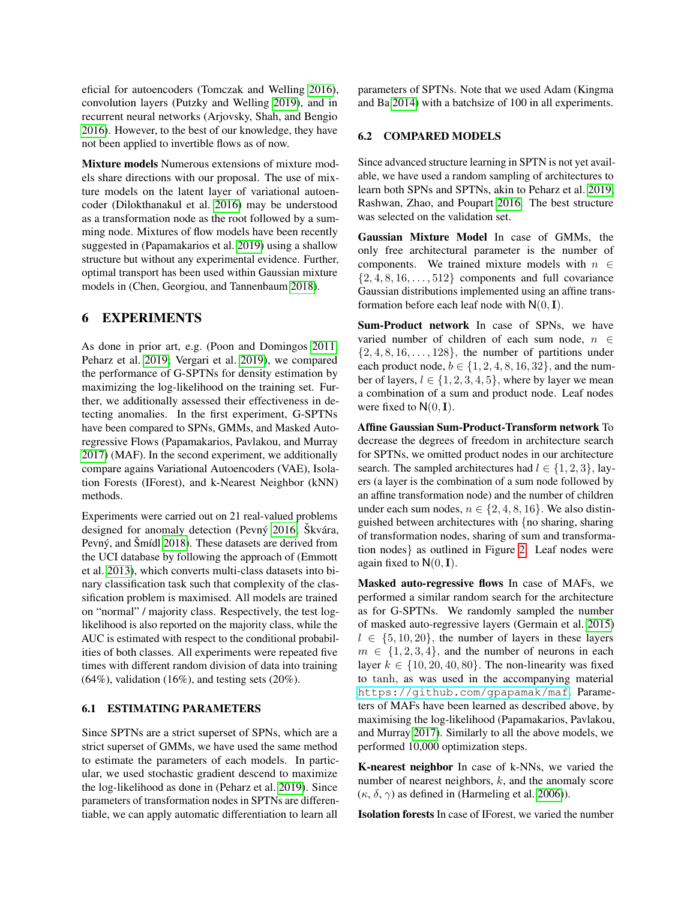eficial for autoencoders (Tomczak and Welling [2016\)](#page-9-12), convolution layers (Putzky and Welling [2019\)](#page-9-13), and in recurrent neural networks (Arjovsky, Shah, and Bengio [2016\)](#page-8-11). However, to the best of our knowledge, they have not been applied to invertible flows as of now.

Mixture models Numerous extensions of mixture models share directions with our proposal. The use of mixture models on the latent layer of variational autoencoder (Dilokthanakul et al. [2016\)](#page-8-12) may be understood as a transformation node as the root followed by a summing node. Mixtures of flow models have been recently suggested in (Papamakarios et al. [2019\)](#page-8-6) using a shallow structure but without any experimental evidence. Further, optimal transport has been used within Gaussian mixture models in (Chen, Georgiou, and Tannenbaum [2018\)](#page-8-13).

#### 6 EXPERIMENTS

As done in prior art, e.g. (Poon and Domingos [2011;](#page-8-1) Peharz et al. [2019;](#page-8-4) Vergari et al. [2019\)](#page-9-14), we compared the performance of G-SPTNs for density estimation by maximizing the log-likelihood on the training set. Further, we additionally assessed their effectiveness in detecting anomalies. In the first experiment, G-SPTNs have been compared to SPNs, GMMs, and Masked Autoregressive Flows (Papamakarios, Pavlakou, and Murray [2017\)](#page-8-14) (MAF). In the second experiment, we additionally compare agains Variational Autoencoders (VAE), Isolation Forests (IForest), and k-Nearest Neighbor (kNN) methods.

Experiments were carried out on 21 real-valued problems designed for anomaly detection (Pevný [2016;](#page-8-15) Škvára, Pevný, and Šmídl [2018\)](#page-9-15). These datasets are derived from the UCI database by following the approach of (Emmott et al. [2013\)](#page-8-16), which converts multi-class datasets into binary classification task such that complexity of the classification problem is maximised. All models are trained on "normal" / majority class. Respectively, the test loglikelihood is also reported on the majority class, while the AUC is estimated with respect to the conditional probabilities of both classes. All experiments were repeated five times with different random division of data into training  $(64\%)$ , validation  $(16\%)$ , and testing sets  $(20\%)$ .

#### 6.1 ESTIMATING PARAMETERS

Since SPTNs are a strict superset of SPNs, which are a strict superset of GMMs, we have used the same method to estimate the parameters of each models. In particular, we used stochastic gradient descend to maximize the log-likelihood as done in (Peharz et al. [2019\)](#page-8-4). Since parameters of transformation nodes in SPTNs are differentiable, we can apply automatic differentiation to learn all

parameters of SPTNs. Note that we used Adam (Kingma and Ba [2014\)](#page-8-17) with a batchsize of 100 in all experiments.

#### 6.2 COMPARED MODELS

Since advanced structure learning in SPTN is not yet available, we have used a random sampling of architectures to learn both SPNs and SPTNs, akin to Peharz et al. [2019;](#page-8-4) Rashwan, Zhao, and Poupart [2016.](#page-9-16) The best structure was selected on the validation set.

Gaussian Mixture Model In case of GMMs, the only free architectural parameter is the number of components. We trained mixture models with  $n \in$  $\{2, 4, 8, 16, \ldots, 512\}$  components and full covariance Gaussian distributions implemented using an affine transformation before each leaf node with  $N(0, I)$ .

Sum-Product network In case of SPNs, we have varied number of children of each sum node,  $n \in$  $\{2, 4, 8, 16, \ldots, 128\}$ , the number of partitions under each product node,  $b \in \{1, 2, 4, 8, 16, 32\}$ , and the number of layers,  $l \in \{1, 2, 3, 4, 5\}$ , where by layer we mean a combination of a sum and product node. Leaf nodes were fixed to  $N(0, I)$ .

Affine Gaussian Sum-Product-Transform network To decrease the degrees of freedom in architecture search for SPTNs, we omitted product nodes in our architecture search. The sampled architectures had  $l \in \{1, 2, 3\}$ , layers (a layer is the combination of a sum node followed by an affine transformation node) and the number of children under each sum nodes,  $n \in \{2, 4, 8, 16\}$ . We also distinguished between architectures with {no sharing, sharing of transformation nodes, sharing of sum and transformation nodes} as outlined in Figure [2.](#page-6-0) Leaf nodes were again fixed to  $N(0, I)$ .

Masked auto-regressive flows In case of MAFs, we performed a similar random search for the architecture as for G-SPTNs. We randomly sampled the number of masked auto-regressive layers (Germain et al. [2015\)](#page-8-18)  $l \in \{5, 10, 20\}$ , the number of layers in these layers  $m \in \{1, 2, 3, 4\}$ , and the number of neurons in each layer  $k \in \{10, 20, 40, 80\}$ . The non-linearity was fixed to tanh, as was used in the accompanying material <https://github.com/gpapamak/maf>. Parameters of MAFs have been learned as described above, by maximising the log-likelihood (Papamakarios, Pavlakou, and Murray [2017\)](#page-8-14). Similarly to all the above models, we performed 10,000 optimization steps.

K-nearest neighbor In case of k-NNs, we varied the number of nearest neighbors,  $k$ , and the anomaly score (κ, δ,  $\gamma$ ) as defined in (Harmeling et al. [2006\)](#page-8-19)).

Isolation forests In case of IForest, we varied the number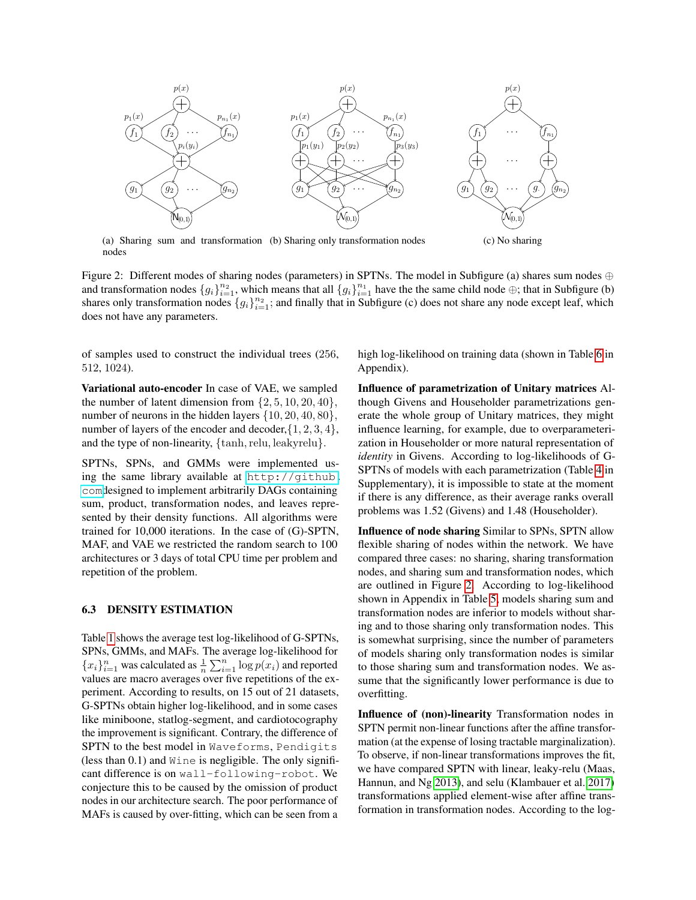<span id="page-6-0"></span>

(a) Sharing sum and transformation (b) Sharing only transformation nodes nodes

Figure 2: Different modes of sharing nodes (parameters) in SPTNs. The model in Subfigure (a) shares sum nodes ⊕ and transformation nodes  $\{g_i\}_{i=1}^{n_2}$ , which means that all  $\{g_i\}_{i=1}^{n_1}$  have the the same child node  $\oplus$ ; that in Subfigure (b) shares only transformation nodes  $\{g_i\}_{i=1}^{n_2}$ ; and finally that in Subfigure (c) does not share any node except leaf, which does not have any parameters.

of samples used to construct the individual trees (256, 512, 1024).

Variational auto-encoder In case of VAE, we sampled the number of latent dimension from  $\{2, 5, 10, 20, 40\},\$ number of neurons in the hidden layers  $\{10, 20, 40, 80\},\$ number of layers of the encoder and decoder,  $\{1, 2, 3, 4\}$ , and the type of non-linearity,  $\{\tanh,$  relu, leakyrelu $\}$ .

SPTNs, SPNs, and GMMs were implemented using the same library available at [http://github.](http://github.com) [com](http://github.com)designed to implement arbitrarily DAGs containing sum, product, transformation nodes, and leaves represented by their density functions. All algorithms were trained for 10,000 iterations. In the case of (G)-SPTN, MAF, and VAE we restricted the random search to 100 architectures or 3 days of total CPU time per problem and repetition of the problem.

#### 6.3 DENSITY ESTIMATION

Table [1](#page-7-0) shows the average test log-likelihood of G-SPTNs, SPNs, GMMs, and MAFs. The average log-likelihood for  ${x_i}_{i=1}^n$  was calculated as  $\frac{1}{n} \sum_{i=1}^n \log p(x_i)$  and reported values are macro averages over five repetitions of the experiment. According to results, on 15 out of 21 datasets, G-SPTNs obtain higher log-likelihood, and in some cases like miniboone, statlog-segment, and cardiotocography the improvement is significant. Contrary, the difference of SPTN to the best model in Waveforms, Pendigits (less than  $0.1$ ) and  $W \text{ine}$  is negligible. The only significant difference is on wall-following-robot. We conjecture this to be caused by the omission of product nodes in our architecture search. The poor performance of MAFs is caused by over-fitting, which can be seen from a

high log-likelihood on training data (shown in Table [6](#page-11-0) in Appendix).

Influence of parametrization of Unitary matrices Although Givens and Householder parametrizations generate the whole group of Unitary matrices, they might influence learning, for example, due to overparameterization in Householder or more natural representation of *identity* in Givens. According to log-likelihoods of G-SPTNs of models with each parametrization (Table [4](#page-10-0) in Supplementary), it is impossible to state at the moment if there is any difference, as their average ranks overall problems was 1.52 (Givens) and 1.48 (Householder).

Influence of node sharing Similar to SPNs, SPTN allow flexible sharing of nodes within the network. We have compared three cases: no sharing, sharing transformation nodes, and sharing sum and transformation nodes, which are outlined in Figure [2.](#page-6-0) According to log-likelihood shown in Appendix in Table [5,](#page-10-1) models sharing sum and transformation nodes are inferior to models without sharing and to those sharing only transformation nodes. This is somewhat surprising, since the number of parameters of models sharing only transformation nodes is similar to those sharing sum and transformation nodes. We assume that the significantly lower performance is due to overfitting.

Influence of (non)-linearity Transformation nodes in SPTN permit non-linear functions after the affine transformation (at the expense of losing tractable marginalization). To observe, if non-linear transformations improves the fit, we have compared SPTN with linear, leaky-relu (Maas, Hannun, and Ng [2013\)](#page-8-20), and selu (Klambauer et al. [2017\)](#page-8-21) transformations applied element-wise after affine transformation in transformation nodes. According to the log-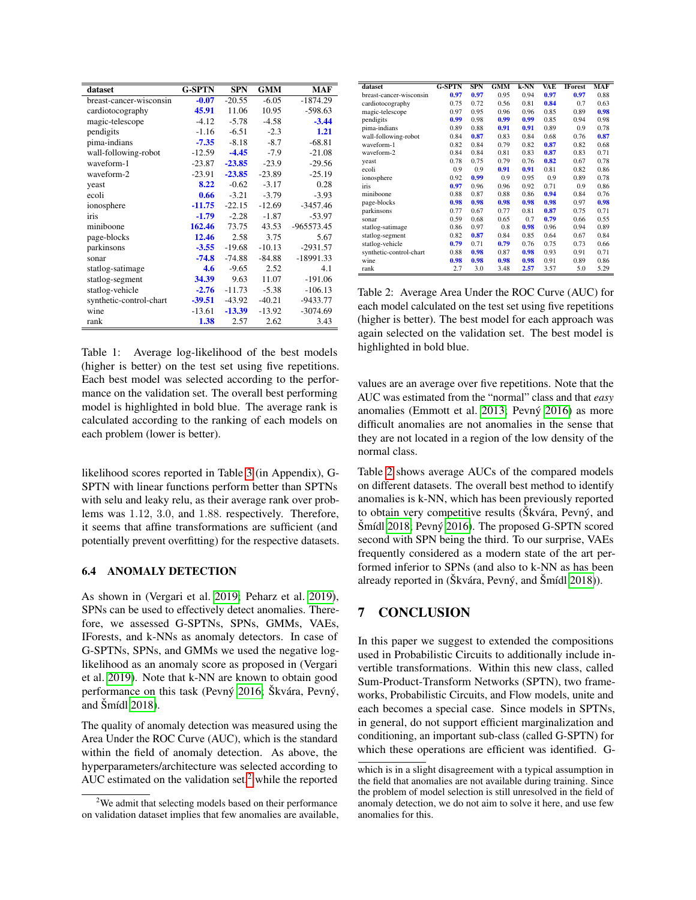<span id="page-7-0"></span>

| dataset                 | <b>G-SPTN</b> | <b>SPN</b> | <b>GMM</b> | MAF        |
|-------------------------|---------------|------------|------------|------------|
| breast-cancer-wisconsin | $-0.07$       | $-20.55$   | $-6.05$    | $-1874.29$ |
| cardiotocography        | 45.91         | 11.06      | 10.95      | $-598.63$  |
| magic-telescope         | $-4.12$       | $-5.78$    | $-4.58$    | $-3.44$    |
| pendigits               | $-1.16$       | $-6.51$    | $-2.3$     | 1.21       |
| pima-indians            | $-7.35$       | $-8.18$    | $-8.7$     | $-68.81$   |
| wall-following-robot    | $-12.59$      | $-4.45$    | $-7.9$     | $-21.08$   |
| waveform-1              | $-23.87$      | $-23.85$   | $-23.9$    | $-29.56$   |
| waveform-2              | $-23.91$      | $-23.85$   | $-23.89$   | $-25.19$   |
| yeast                   | 8.22          | $-0.62$    | $-3.17$    | 0.28       |
| ecoli                   | 0.66          | $-3.21$    | $-3.79$    | $-3.93$    |
| ionosphere              | $-11.75$      | $-22.15$   | $-12.69$   | $-3457.46$ |
| iris                    | $-1.79$       | $-2.28$    | $-1.87$    | $-53.97$   |
| miniboone               | 162.46        | 73.75      | 43.53      | -965573.45 |
| page-blocks             | 12.46         | 2.58       | 3.75       | 5.67       |
| parkinsons              | $-3.55$       | $-19.68$   | $-10.13$   | $-2931.57$ |
| sonar                   | $-74.8$       | $-74.88$   | $-84.88$   | -18991.33  |
| statlog-satimage        | 4.6           | $-9.65$    | 2.52       | 4.1        |
| statlog-segment         | 34.39         | 9.63       | 11.07      | $-191.06$  |
| statlog-vehicle         | $-2.76$       | $-11.73$   | $-5.38$    | $-106.13$  |
| synthetic-control-chart | $-39.51$      | $-43.92$   | $-40.21$   | -9433.77   |
| wine                    | $-13.61$      | $-13.39$   | $-13.92$   | $-3074.69$ |
| rank                    | 1.38          | 2.57       | 2.62       | 3.43       |

Table 1: Average log-likelihood of the best models (higher is better) on the test set using five repetitions. Each best model was selected according to the performance on the validation set. The overall best performing model is highlighted in bold blue. The average rank is calculated according to the ranking of each models on each problem (lower is better).

likelihood scores reported in Table [3](#page-9-17) (in Appendix), G-SPTN with linear functions perform better than SPTNs with selu and leaky relu, as their average rank over problems was 1.12, 3.0, and 1.88. respectively. Therefore, it seems that affine transformations are sufficient (and potentially prevent overfitting) for the respective datasets.

#### 6.4 ANOMALY DETECTION

As shown in (Vergari et al. [2019;](#page-9-14) Peharz et al. [2019\)](#page-8-4), SPNs can be used to effectively detect anomalies. Therefore, we assessed G-SPTNs, SPNs, GMMs, VAEs, IForests, and k-NNs as anomaly detectors. In case of G-SPTNs, SPNs, and GMMs we used the negative loglikelihood as an anomaly score as proposed in (Vergari et al. [2019\)](#page-9-14). Note that k-NN are known to obtain good performance on this task (Pevný [2016;](#page-8-15) Škvára, Pevný, and  $\text{Smídl } 2018$ ).

The quality of anomaly detection was measured using the Area Under the ROC Curve (AUC), which is the standard within the field of anomaly detection. As above, the hyperparameters/architecture was selected according to AUC estimated on the validation set, $2$  while the reported

<span id="page-7-2"></span>

| dataset                 | <b>G-SPTN</b> | <b>SPN</b> | <b>GMM</b> | k-NN | VAE  | <b>IForest</b> | MAF  |
|-------------------------|---------------|------------|------------|------|------|----------------|------|
| breast-cancer-wisconsin | 0.97          | 0.97       | 0.95       | 0.94 | 0.97 | 0.97           | 0.88 |
| cardiotocography        | 0.75          | 0.72       | 0.56       | 0.81 | 0.84 | 0.7            | 0.63 |
| magic-telescope         | 0.97          | 0.95       | 0.96       | 0.96 | 0.85 | 0.89           | 0.98 |
| pendigits               | 0.99          | 0.98       | 0.99       | 0.99 | 0.85 | 0.94           | 0.98 |
| pima-indians            | 0.89          | 0.88       | 0.91       | 0.91 | 0.89 | 0.9            | 0.78 |
| wall-following-robot    | 0.84          | 0.87       | 0.83       | 0.84 | 0.68 | 0.76           | 0.87 |
| waveform-1              | 0.82          | 0.84       | 0.79       | 0.82 | 0.87 | 0.82           | 0.68 |
| waveform-2              | 0.84          | 0.84       | 0.81       | 0.83 | 0.87 | 0.83           | 0.71 |
| yeast                   | 0.78          | 0.75       | 0.79       | 0.76 | 0.82 | 0.67           | 0.78 |
| ecoli                   | 0.9           | 0.9        | 0.91       | 0.91 | 0.81 | 0.82           | 0.86 |
| ionosphere              | 0.92          | 0.99       | 0.9        | 0.95 | 0.9  | 0.89           | 0.78 |
| iris                    | 0.97          | 0.96       | 0.96       | 0.92 | 0.71 | 0.9            | 0.86 |
| miniboone               | 0.88          | 0.87       | 0.88       | 0.86 | 0.94 | 0.84           | 0.76 |
| page-blocks             | 0.98          | 0.98       | 0.98       | 0.98 | 0.98 | 0.97           | 0.98 |
| parkinsons              | 0.77          | 0.67       | 0.77       | 0.81 | 0.87 | 0.75           | 0.71 |
| sonar                   | 0.59          | 0.68       | 0.65       | 0.7  | 0.79 | 0.66           | 0.55 |
| statlog-satimage        | 0.86          | 0.97       | 0.8        | 0.98 | 0.96 | 0.94           | 0.89 |
| statlog-segment         | 0.82          | 0.87       | 0.84       | 0.85 | 0.64 | 0.67           | 0.84 |
| statlog-vehicle         | 0.79          | 0.71       | 0.79       | 0.76 | 0.75 | 0.73           | 0.66 |
| synthetic-control-chart | 0.88          | 0.98       | 0.87       | 0.98 | 0.93 | 0.91           | 0.71 |
| wine                    | 0.98          | 0.98       | 0.98       | 0.98 | 0.91 | 0.89           | 0.86 |
| rank                    | 2.7           | 3.0        | 3.48       | 2.57 | 3.57 | 5.0            | 5.29 |

Table 2: Average Area Under the ROC Curve (AUC) for each model calculated on the test set using five repetitions (higher is better). The best model for each approach was again selected on the validation set. The best model is highlighted in bold blue.

values are an average over five repetitions. Note that the AUC was estimated from the "normal" class and that *easy* anomalies (Emmott et al. [2013;](#page-8-16) Pevný [2016\)](#page-8-15) as more difficult anomalies are not anomalies in the sense that they are not located in a region of the low density of the normal class.

Table [2](#page-7-2) shows average AUCs of the compared models on different datasets. The overall best method to identify anomalies is k-NN, which has been previously reported to obtain very competitive results (Škvára, Pevný, and  $\text{Sm\'edl}$  [2018;](#page-9-15) Pevný [2016\)](#page-8-15). The proposed G-SPTN scored second with SPN being the third. To our surprise, VAEs frequently considered as a modern state of the art performed inferior to SPNs (and also to k-NN as has been already reported in (Škvára, Pevný, and Šmídl [2018\)](#page-9-15)).

#### 7 CONCLUSION

In this paper we suggest to extended the compositions used in Probabilistic Circuits to additionally include invertible transformations. Within this new class, called Sum-Product-Transform Networks (SPTN), two frameworks, Probabilistic Circuits, and Flow models, unite and each becomes a special case. Since models in SPTNs, in general, do not support efficient marginalization and conditioning, an important sub-class (called G-SPTN) for which these operations are efficient was identified. G-

<span id="page-7-1"></span><sup>&</sup>lt;sup>2</sup>We admit that selecting models based on their performance on validation dataset implies that few anomalies are available,

which is in a slight disagreement with a typical assumption in the field that anomalies are not available during training. Since the problem of model selection is still unresolved in the field of anomaly detection, we do not aim to solve it here, and use few anomalies for this.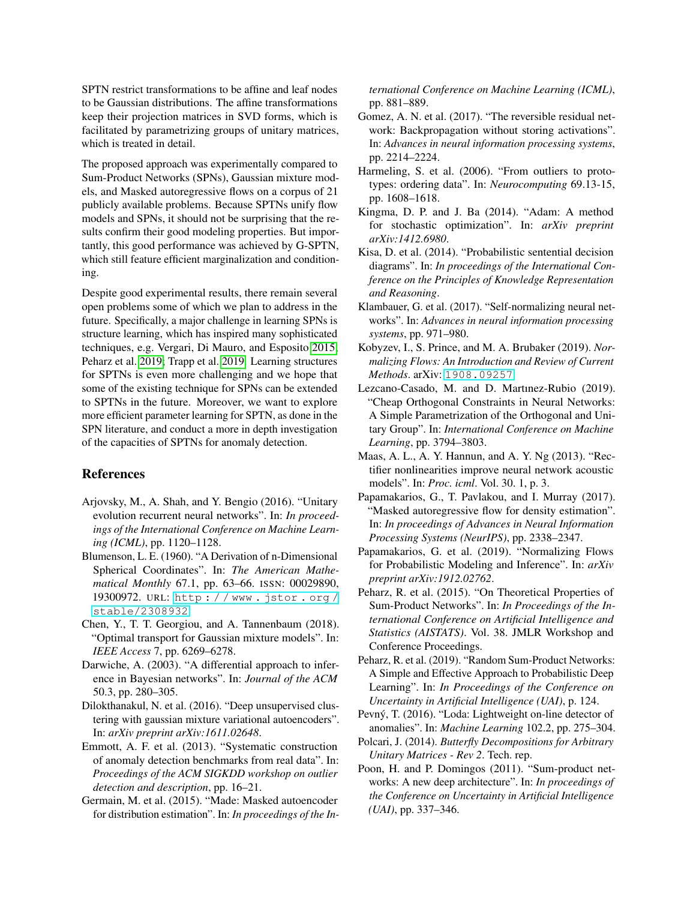SPTN restrict transformations to be affine and leaf nodes to be Gaussian distributions. The affine transformations keep their projection matrices in SVD forms, which is facilitated by parametrizing groups of unitary matrices, which is treated in detail.

The proposed approach was experimentally compared to Sum-Product Networks (SPNs), Gaussian mixture models, and Masked autoregressive flows on a corpus of 21 publicly available problems. Because SPTNs unify flow models and SPNs, it should not be surprising that the results confirm their good modeling properties. But importantly, this good performance was achieved by G-SPTN, which still feature efficient marginalization and conditioning.

Despite good experimental results, there remain several open problems some of which we plan to address in the future. Specifically, a major challenge in learning SPNs is structure learning, which has inspired many sophisticated techniques, e.g. Vergari, Di Mauro, and Esposito [2015;](#page-9-18) Peharz et al. [2019;](#page-8-4) Trapp et al. [2019.](#page-9-10) Learning structures for SPTNs is even more challenging and we hope that some of the existing technique for SPNs can be extended to SPTNs in the future. Moreover, we want to explore more efficient parameter learning for SPTN, as done in the SPN literature, and conduct a more in depth investigation of the capacities of SPTNs for anomaly detection.

#### References

- <span id="page-8-11"></span>Arjovsky, M., A. Shah, and Y. Bengio (2016). "Unitary evolution recurrent neural networks". In: *In proceedings of the International Conference on Machine Learning (ICML)*, pp. 1120–1128.
- <span id="page-8-8"></span>Blumenson, L. E. (1960). "A Derivation of n-Dimensional Spherical Coordinates". In: *The American Mathematical Monthly* 67.1, pp. 63–66. ISSN: 00029890, 19300972. URL: [http : / / www . jstor . org /](http://www.jstor.org/stable/2308932) [stable/2308932](http://www.jstor.org/stable/2308932).
- <span id="page-8-13"></span>Chen, Y., T. T. Georgiou, and A. Tannenbaum (2018). "Optimal transport for Gaussian mixture models". In: *IEEE Access* 7, pp. 6269–6278.
- <span id="page-8-3"></span>Darwiche, A. (2003). "A differential approach to inference in Bayesian networks". In: *Journal of the ACM* 50.3, pp. 280–305.
- <span id="page-8-12"></span>Dilokthanakul, N. et al. (2016). "Deep unsupervised clustering with gaussian mixture variational autoencoders". In: *arXiv preprint arXiv:1611.02648*.
- <span id="page-8-16"></span>Emmott, A. F. et al. (2013). "Systematic construction of anomaly detection benchmarks from real data". In: *Proceedings of the ACM SIGKDD workshop on outlier detection and description*, pp. 16–21.
- <span id="page-8-18"></span>Germain, M. et al. (2015). "Made: Masked autoencoder for distribution estimation". In: *In proceedings of the In-*

*ternational Conference on Machine Learning (ICML)*, pp. 881–889.

- <span id="page-8-9"></span>Gomez, A. N. et al. (2017). "The reversible residual network: Backpropagation without storing activations". In: *Advances in neural information processing systems*, pp. 2214–2224.
- <span id="page-8-19"></span>Harmeling, S. et al. (2006). "From outliers to prototypes: ordering data". In: *Neurocomputing* 69.13-15, pp. 1608–1618.
- <span id="page-8-17"></span>Kingma, D. P. and J. Ba (2014). "Adam: A method for stochastic optimization". In: *arXiv preprint arXiv:1412.6980*.
- <span id="page-8-2"></span>Kisa, D. et al. (2014). "Probabilistic sentential decision diagrams". In: *In proceedings of the International Conference on the Principles of Knowledge Representation and Reasoning*.
- <span id="page-8-21"></span>Klambauer, G. et al. (2017). "Self-normalizing neural networks". In: *Advances in neural information processing systems*, pp. 971–980.
- <span id="page-8-0"></span>Kobyzev, I., S. Prince, and M. A. Brubaker (2019). *Normalizing Flows: An Introduction and Review of Current Methods*. arXiv: [1908.09257](http://arxiv.org/abs/1908.09257).
- <span id="page-8-10"></span>Lezcano-Casado, M. and D. Martınez-Rubio (2019). "Cheap Orthogonal Constraints in Neural Networks: A Simple Parametrization of the Orthogonal and Unitary Group". In: *International Conference on Machine Learning*, pp. 3794–3803.
- <span id="page-8-20"></span>Maas, A. L., A. Y. Hannun, and A. Y. Ng (2013). "Rectifier nonlinearities improve neural network acoustic models". In: *Proc. icml*. Vol. 30. 1, p. 3.
- <span id="page-8-14"></span>Papamakarios, G., T. Pavlakou, and I. Murray (2017). "Masked autoregressive flow for density estimation". In: *In proceedings of Advances in Neural Information Processing Systems (NeurIPS)*, pp. 2338–2347.
- <span id="page-8-6"></span>Papamakarios, G. et al. (2019). "Normalizing Flows for Probabilistic Modeling and Inference". In: *arXiv preprint arXiv:1912.02762*.
- <span id="page-8-5"></span>Peharz, R. et al. (2015). "On Theoretical Properties of Sum-Product Networks". In: *In Proceedings of the International Conference on Artificial Intelligence and Statistics (AISTATS)*. Vol. 38. JMLR Workshop and Conference Proceedings.
- <span id="page-8-4"></span>Peharz, R. et al. (2019). "Random Sum-Product Networks: A Simple and Effective Approach to Probabilistic Deep Learning". In: *In Proceedings of the Conference on Uncertainty in Artificial Intelligence (UAI)*, p. 124.
- <span id="page-8-15"></span>Pevný, T. (2016). "Loda: Lightweight on-line detector of anomalies". In: *Machine Learning* 102.2, pp. 275–304.
- <span id="page-8-7"></span>Polcari, J. (2014). *Butterfly Decompositions for Arbitrary Unitary Matrices - Rev 2*. Tech. rep.
- <span id="page-8-1"></span>Poon, H. and P. Domingos (2011). "Sum-product networks: A new deep architecture". In: *In proceedings of the Conference on Uncertainty in Artificial Intelligence (UAI)*, pp. 337–346.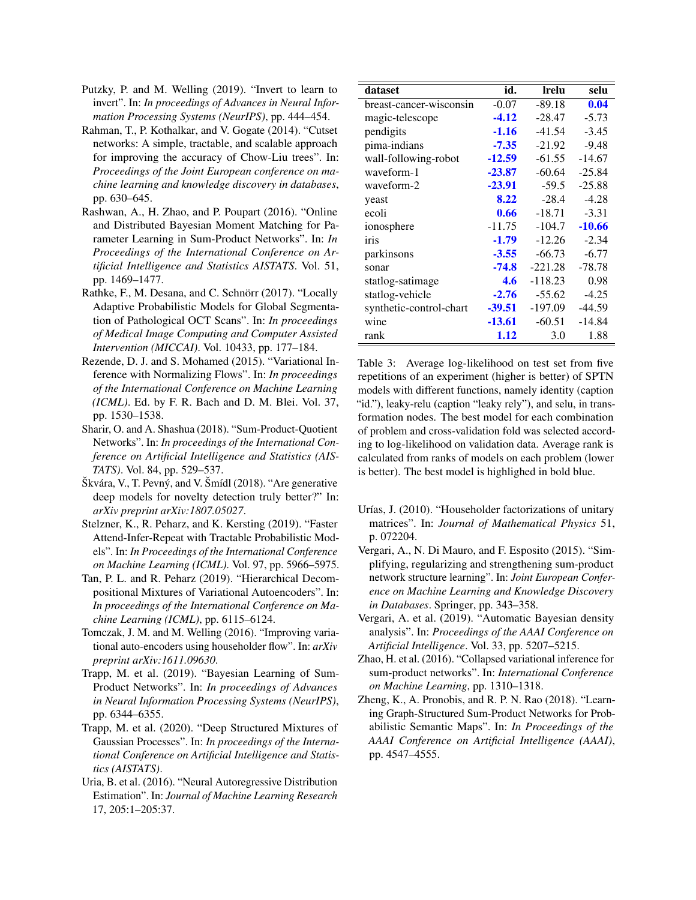- <span id="page-9-13"></span>Putzky, P. and M. Welling (2019). "Invert to learn to invert". In: *In proceedings of Advances in Neural Information Processing Systems (NeurIPS)*, pp. 444–454.
- <span id="page-9-2"></span>Rahman, T., P. Kothalkar, and V. Gogate (2014). "Cutset networks: A simple, tractable, and scalable approach for improving the accuracy of Chow-Liu trees". In: *Proceedings of the Joint European conference on machine learning and knowledge discovery in databases*, pp. 630–645.
- <span id="page-9-16"></span>Rashwan, A., H. Zhao, and P. Poupart (2016). "Online and Distributed Bayesian Moment Matching for Parameter Learning in Sum-Product Networks". In: *In Proceedings of the International Conference on Artificial Intelligence and Statistics AISTATS*. Vol. 51, pp. 1469–1477.
- <span id="page-9-3"></span>Rathke, F., M. Desana, and C. Schnörr (2017). "Locally Adaptive Probabilistic Models for Global Segmentation of Pathological OCT Scans". In: *In proceedings of Medical Image Computing and Computer Assisted Intervention (MICCAI)*. Vol. 10433, pp. 177–184.
- <span id="page-9-0"></span>Rezende, D. J. and S. Mohamed (2015). "Variational Inference with Normalizing Flows". In: *In proceedings of the International Conference on Machine Learning (ICML)*. Ed. by F. R. Bach and D. M. Blei. Vol. 37, pp. 1530–1538.
- <span id="page-9-8"></span>Sharir, O. and A. Shashua (2018). "Sum-Product-Quotient Networks". In: *In proceedings of the International Conference on Artificial Intelligence and Statistics (AIS-TATS)*. Vol. 84, pp. 529–537.
- <span id="page-9-15"></span> $\text{Skvára}, \text{V}, \text{T}$ . Pevný, and V.  $\text{Smídl}$  (2018). "Are generative deep models for novelty detection truly better?" In: *arXiv preprint arXiv:1807.05027*.
- <span id="page-9-4"></span>Stelzner, K., R. Peharz, and K. Kersting (2019). "Faster Attend-Infer-Repeat with Tractable Probabilistic Models". In: *In Proceedings of the International Conference on Machine Learning (ICML)*. Vol. 97, pp. 5966–5975.
- <span id="page-9-6"></span>Tan, P. L. and R. Peharz (2019). "Hierarchical Decompositional Mixtures of Variational Autoencoders". In: *In proceedings of the International Conference on Machine Learning (ICML)*, pp. 6115–6124.
- <span id="page-9-12"></span>Tomczak, J. M. and M. Welling (2016). "Improving variational auto-encoders using householder flow". In: *arXiv preprint arXiv:1611.09630*.
- <span id="page-9-10"></span>Trapp, M. et al. (2019). "Bayesian Learning of Sum-Product Networks". In: *In proceedings of Advances in Neural Information Processing Systems (NeurIPS)*, pp. 6344–6355.
- <span id="page-9-7"></span>Trapp, M. et al. (2020). "Deep Structured Mixtures of Gaussian Processes". In: *In proceedings of the International Conference on Artificial Intelligence and Statistics (AISTATS)*.
- <span id="page-9-1"></span>Uria, B. et al. (2016). "Neural Autoregressive Distribution Estimation". In: *Journal of Machine Learning Research* 17, 205:1–205:37.

<span id="page-9-17"></span>

| dataset                 | id.      | Irelu     | selu     |
|-------------------------|----------|-----------|----------|
| breast-cancer-wisconsin | $-0.07$  | $-89.18$  | 0.04     |
| magic-telescope         | $-4.12$  | $-28.47$  | $-5.73$  |
| pendigits               | $-1.16$  | $-41.54$  | $-3.45$  |
| pima-indians            | $-7.35$  | $-21.92$  | $-9.48$  |
| wall-following-robot    | $-12.59$ | $-61.55$  | $-14.67$ |
| waveform-1              | $-23.87$ | $-60.64$  | $-25.84$ |
| waveform-2              | $-23.91$ | $-59.5$   | $-25.88$ |
| yeast                   | 8.22     | $-28.4$   | $-4.28$  |
| ecoli                   | 0.66     | $-18.71$  | $-3.31$  |
| ionosphere              | $-11.75$ | $-104.7$  | $-10.66$ |
| iris                    | $-1.79$  | $-12.26$  | $-2.34$  |
| parkinsons              | $-3.55$  | $-66.73$  | $-6.77$  |
| sonar                   | $-74.8$  | $-221.28$ | $-78.78$ |
| statlog-satimage        | 4.6      | $-118.23$ | 0.98     |
| statlog-vehicle         | $-2.76$  | $-55.62$  | $-4.25$  |
| synthetic-control-chart | -39.51   | $-197.09$ | $-44.59$ |
| wine                    | $-13.61$ | $-60.51$  | $-14.84$ |
| rank                    | 1.12     | 3.0       | 1.88     |

Table 3: Average log-likelihood on test set from five repetitions of an experiment (higher is better) of SPTN models with different functions, namely identity (caption "id."), leaky-relu (caption "leaky rely"), and selu, in transformation nodes. The best model for each combination of problem and cross-validation fold was selected according to log-likelihood on validation data. Average rank is calculated from ranks of models on each problem (lower is better). The best model is highlighed in bold blue.

- <span id="page-9-11"></span>Urías, J. (2010). "Householder factorizations of unitary matrices". In: *Journal of Mathematical Physics* 51, p. 072204.
- <span id="page-9-18"></span>Vergari, A., N. Di Mauro, and F. Esposito (2015). "Simplifying, regularizing and strengthening sum-product network structure learning". In: *Joint European Conference on Machine Learning and Knowledge Discovery in Databases*. Springer, pp. 343–358.
- <span id="page-9-14"></span>Vergari, A. et al. (2019). "Automatic Bayesian density analysis". In: *Proceedings of the AAAI Conference on Artificial Intelligence*. Vol. 33, pp. 5207–5215.
- <span id="page-9-9"></span>Zhao, H. et al. (2016). "Collapsed variational inference for sum-product networks". In: *International Conference on Machine Learning*, pp. 1310–1318.
- <span id="page-9-5"></span>Zheng, K., A. Pronobis, and R. P. N. Rao (2018). "Learning Graph-Structured Sum-Product Networks for Probabilistic Semantic Maps". In: *In Proceedings of the AAAI Conference on Artificial Intelligence (AAAI)*, pp. 4547–4555.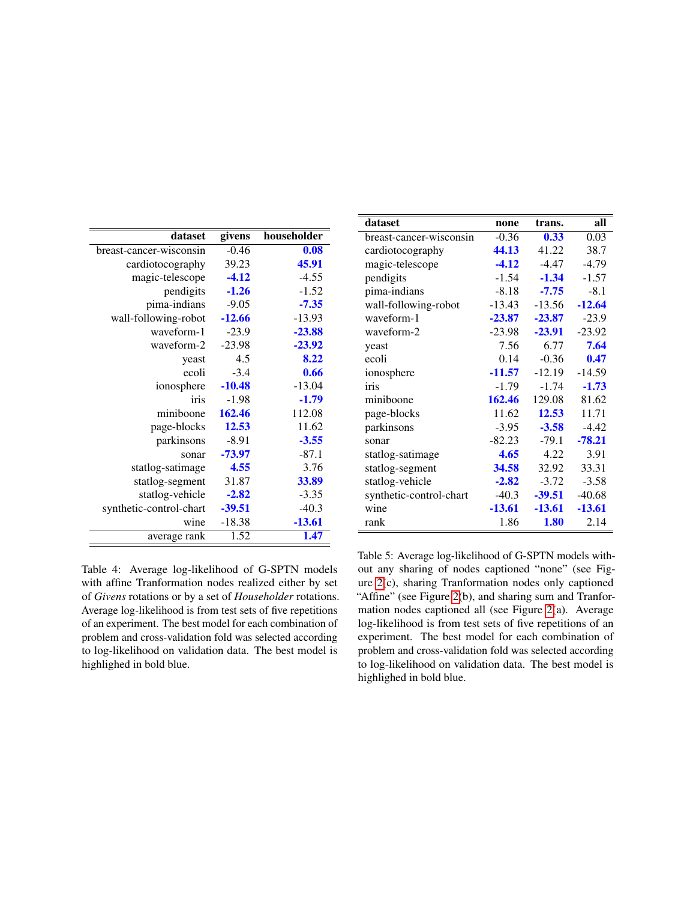<span id="page-10-0"></span>

| dataset                 | givens   | householder |
|-------------------------|----------|-------------|
| breast-cancer-wisconsin | $-0.46$  | 0.08        |
| cardiotocography        | 39.23    | 45.91       |
| magic-telescope         | $-4.12$  | $-4.55$     |
| pendigits               | $-1.26$  | $-1.52$     |
| pima-indians            | $-9.05$  | $-7.35$     |
| wall-following-robot    | $-12.66$ | $-13.93$    |
| waveform-1              | $-23.9$  | $-23.88$    |
| waveform-2              | $-23.98$ | -23.92      |
| yeast                   | 4.5      | 8.22        |
| ecoli                   | $-3.4$   | 0.66        |
| ionosphere              | $-10.48$ | $-13.04$    |
| iris                    | $-1.98$  | $-1.79$     |
| miniboone               | 162.46   | 112.08      |
| page-blocks             | 12.53    | 11.62       |
| parkinsons              | $-8.91$  | $-3.55$     |
| sonar                   | -73.97   | $-87.1$     |
| statlog-satimage        | 4.55     | 3.76        |
| statlog-segment         | 31.87    | 33.89       |
| statlog-vehicle         | $-2.82$  | $-3.35$     |
| synthetic-control-chart | $-39.51$ | $-40.3$     |
| wine                    | -18.38   | $-13.61$    |
| average rank            | 1.52     | 1.47        |

Table 4: Average log-likelihood of G-SPTN models with affine Tranformation nodes realized either by set of *Givens* rotations or by a set of *Householder* rotations. Average log-likelihood is from test sets of five repetitions of an experiment. The best model for each combination of problem and cross-validation fold was selected according to log-likelihood on validation data. The best model is highlighed in bold blue.

<span id="page-10-1"></span>

| dataset                 | none     | trans.   | all      |
|-------------------------|----------|----------|----------|
| breast-cancer-wisconsin | $-0.36$  | 0.33     | 0.03     |
| cardiotocography        | 44.13    | 41.22    | 38.7     |
| magic-telescope         | $-4.12$  | $-4.47$  | $-4.79$  |
| pendigits               | $-1.54$  | $-1.34$  | $-1.57$  |
| pima-indians            | $-8.18$  | $-7.75$  | $-8.1$   |
| wall-following-robot    | $-13.43$ | $-13.56$ | $-12.64$ |
| waveform-1              | $-23.87$ | $-23.87$ | $-23.9$  |
| waveform-2              | $-23.98$ | $-23.91$ | $-23.92$ |
| yeast                   | 7.56     | 6.77     | 7.64     |
| ecoli                   | 0.14     | $-0.36$  | 0.47     |
| ionosphere              | $-11.57$ | $-12.19$ | $-14.59$ |
| iris                    | $-1.79$  | $-1.74$  | $-1.73$  |
| miniboone               | 162.46   | 129.08   | 81.62    |
| page-blocks             | 11.62    | 12.53    | 11.71    |
| parkinsons              | $-3.95$  | $-3.58$  | $-4.42$  |
| sonar                   | $-82.23$ | $-79.1$  | $-78.21$ |
| statlog-satimage        | 4.65     | 4.22     | 3.91     |
| statlog-segment         | 34.58    | 32.92    | 33.31    |
| statlog-vehicle         | $-2.82$  | $-3.72$  | $-3.58$  |
| synthetic-control-chart | $-40.3$  | $-39.51$ | $-40.68$ |
| wine                    | $-13.61$ | -13.61   | $-13.61$ |
| rank                    | 1.86     | 1.80     | 2.14     |

Table 5: Average log-likelihood of G-SPTN models without any sharing of nodes captioned "none" (see Figure [2\(](#page-6-0)c), sharing Tranformation nodes only captioned "Affine" (see Figure [2\(](#page-6-0)b), and sharing sum and Tranformation nodes captioned all (see Figure [2\(](#page-6-0)a). Average log-likelihood is from test sets of five repetitions of an experiment. The best model for each combination of problem and cross-validation fold was selected according to log-likelihood on validation data. The best model is highlighed in bold blue.